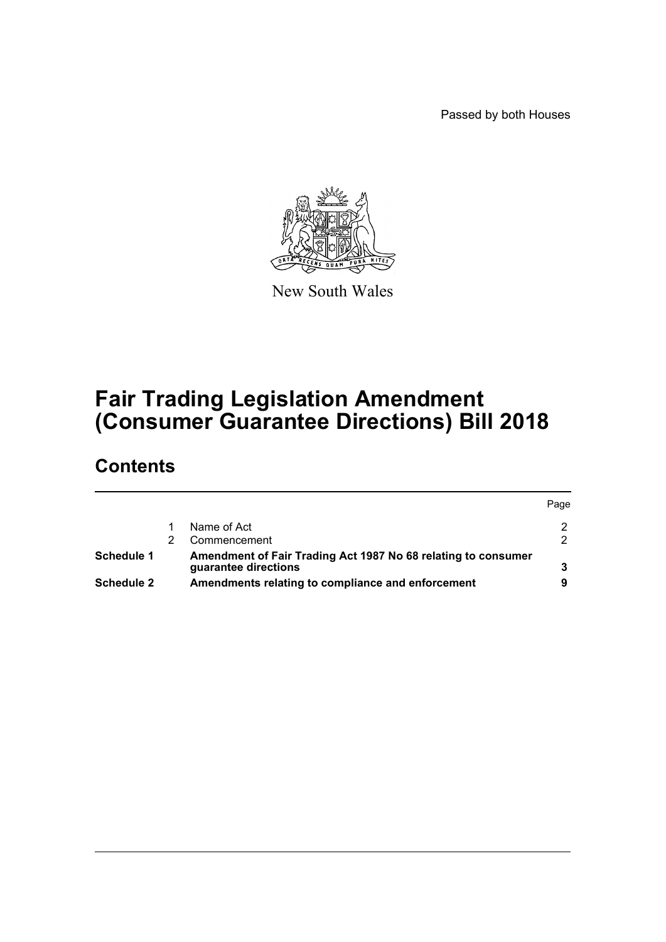Passed by both Houses



New South Wales

# **Fair Trading Legislation Amendment (Consumer Guarantee Directions) Bill 2018**

# **Contents**

|                   |                                                                                       | Page |
|-------------------|---------------------------------------------------------------------------------------|------|
|                   | Name of Act                                                                           |      |
|                   | Commencement                                                                          |      |
| Schedule 1        | Amendment of Fair Trading Act 1987 No 68 relating to consumer<br>guarantee directions |      |
| <b>Schedule 2</b> | Amendments relating to compliance and enforcement                                     |      |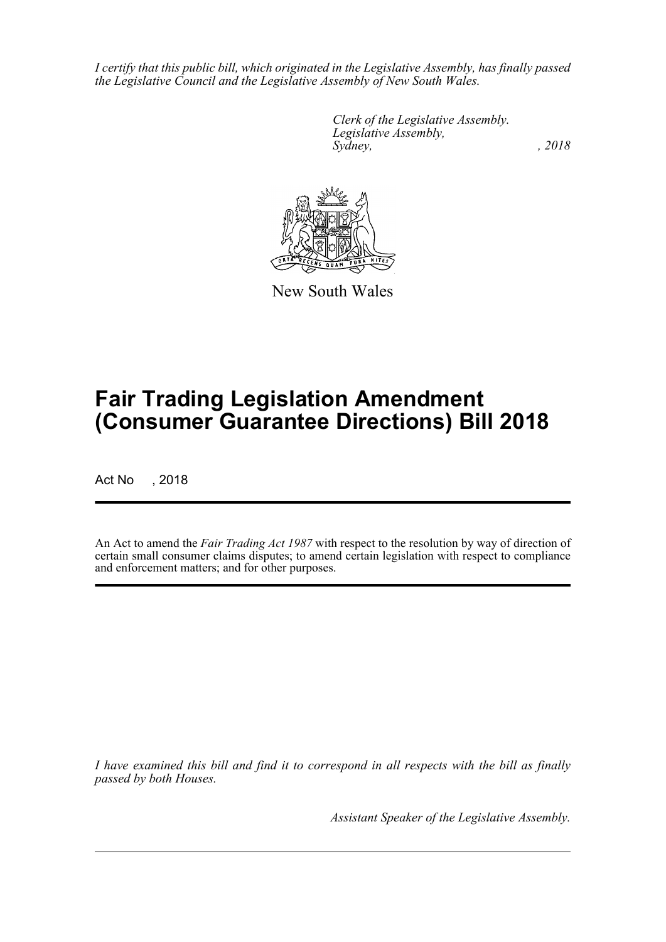*I certify that this public bill, which originated in the Legislative Assembly, has finally passed the Legislative Council and the Legislative Assembly of New South Wales.*

> *Clerk of the Legislative Assembly. Legislative Assembly, Sydney, , 2018*



New South Wales

# **Fair Trading Legislation Amendment (Consumer Guarantee Directions) Bill 2018**

Act No , 2018

An Act to amend the *Fair Trading Act 1987* with respect to the resolution by way of direction of certain small consumer claims disputes; to amend certain legislation with respect to compliance and enforcement matters; and for other purposes.

*I have examined this bill and find it to correspond in all respects with the bill as finally passed by both Houses.*

*Assistant Speaker of the Legislative Assembly.*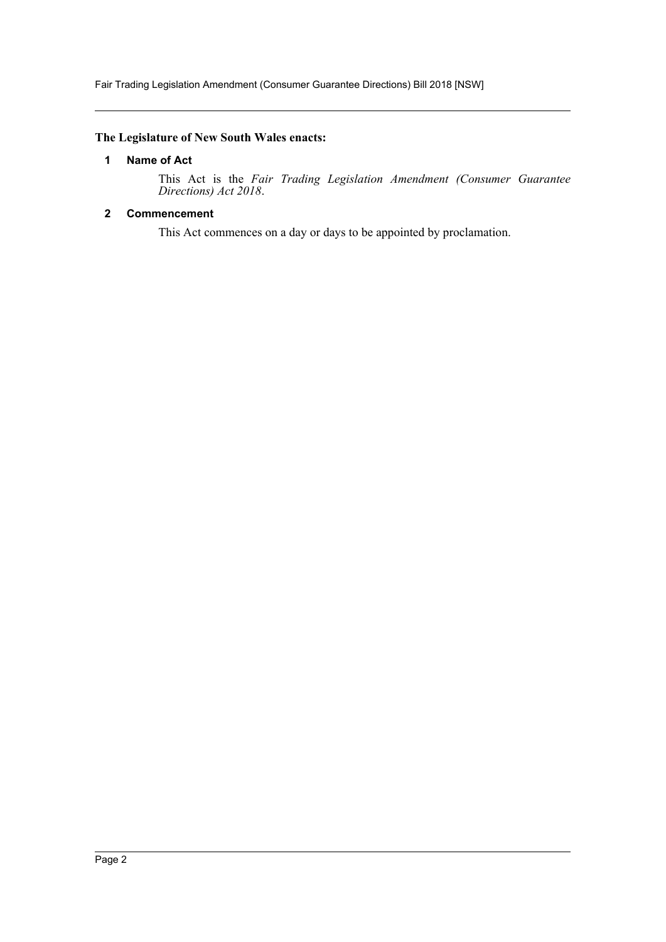Fair Trading Legislation Amendment (Consumer Guarantee Directions) Bill 2018 [NSW]

# <span id="page-2-0"></span>**The Legislature of New South Wales enacts:**

#### **1 Name of Act**

This Act is the *Fair Trading Legislation Amendment (Consumer Guarantee Directions) Act 2018*.

# <span id="page-2-1"></span>**2 Commencement**

This Act commences on a day or days to be appointed by proclamation.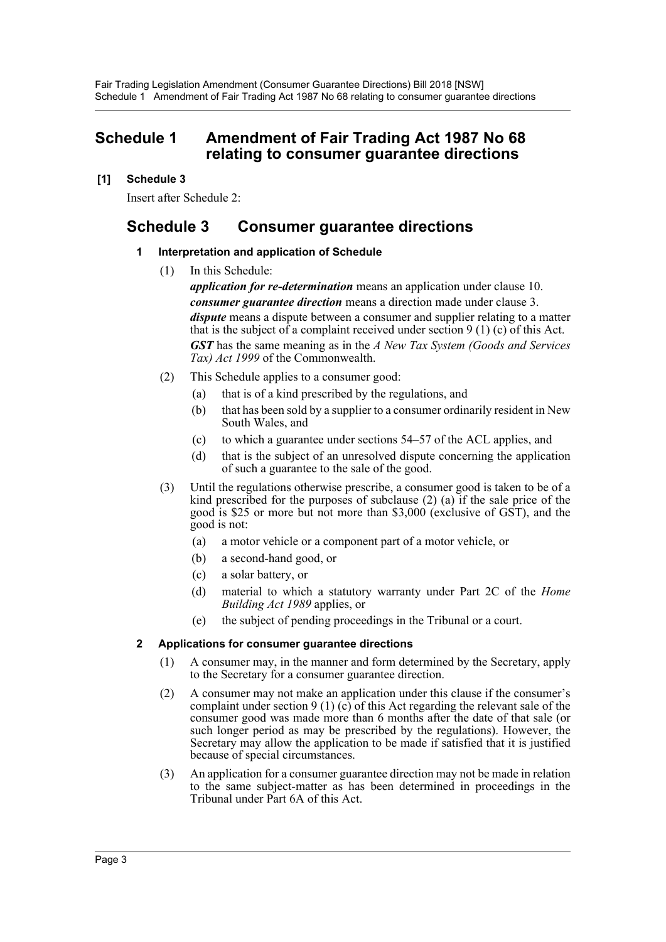# <span id="page-3-0"></span>**Schedule 1 Amendment of Fair Trading Act 1987 No 68 relating to consumer guarantee directions**

# **[1] Schedule 3**

Insert after Schedule 2:

# **Schedule 3 Consumer guarantee directions**

# **1 Interpretation and application of Schedule**

(1) In this Schedule:

*application for re-determination* means an application under clause 10. *consumer guarantee direction* means a direction made under clause 3. *dispute* means a dispute between a consumer and supplier relating to a matter that is the subject of a complaint received under section  $9(1)(c)$  of this Act.

*GST* has the same meaning as in the *A New Tax System (Goods and Services Tax) Act 1999* of the Commonwealth.

- (2) This Schedule applies to a consumer good:
	- (a) that is of a kind prescribed by the regulations, and
	- (b) that has been sold by a supplier to a consumer ordinarily resident in New South Wales, and
	- (c) to which a guarantee under sections 54–57 of the ACL applies, and
	- (d) that is the subject of an unresolved dispute concerning the application of such a guarantee to the sale of the good.
- (3) Until the regulations otherwise prescribe, a consumer good is taken to be of a kind prescribed for the purposes of subclause  $(2)$   $(a)$  if the sale price of the good is \$25 or more but not more than \$3,000 (exclusive of GST), and the good is not:
	- (a) a motor vehicle or a component part of a motor vehicle, or
	- (b) a second-hand good, or
	- (c) a solar battery, or
	- (d) material to which a statutory warranty under Part 2C of the *Home Building Act 1989* applies, or
	- (e) the subject of pending proceedings in the Tribunal or a court.

# **2 Applications for consumer guarantee directions**

- (1) A consumer may, in the manner and form determined by the Secretary, apply to the Secretary for a consumer guarantee direction.
- (2) A consumer may not make an application under this clause if the consumer's complaint under section 9 (1) (c) of this Act regarding the relevant sale of the consumer good was made more than 6 months after the date of that sale (or such longer period as may be prescribed by the regulations). However, the Secretary may allow the application to be made if satisfied that it is justified because of special circumstances.
- (3) An application for a consumer guarantee direction may not be made in relation to the same subject-matter as has been determined in proceedings in the Tribunal under Part 6A of this Act.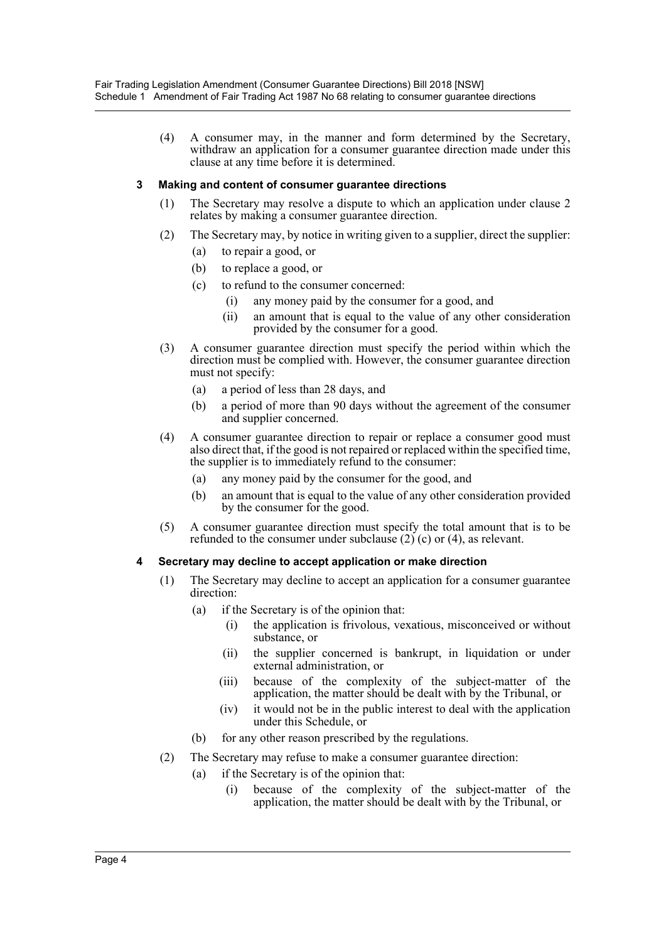(4) A consumer may, in the manner and form determined by the Secretary, withdraw an application for a consumer guarantee direction made under this clause at any time before it is determined.

## **3 Making and content of consumer guarantee directions**

- (1) The Secretary may resolve a dispute to which an application under clause 2 relates by making a consumer guarantee direction.
- (2) The Secretary may, by notice in writing given to a supplier, direct the supplier:
	- (a) to repair a good, or
	- (b) to replace a good, or
	- (c) to refund to the consumer concerned:
		- (i) any money paid by the consumer for a good, and
		- (ii) an amount that is equal to the value of any other consideration provided by the consumer for a good.
- (3) A consumer guarantee direction must specify the period within which the direction must be complied with. However, the consumer guarantee direction must not specify:
	- (a) a period of less than 28 days, and
	- (b) a period of more than 90 days without the agreement of the consumer and supplier concerned.
- (4) A consumer guarantee direction to repair or replace a consumer good must also direct that, if the good is not repaired or replaced within the specified time, the supplier is to immediately refund to the consumer:
	- (a) any money paid by the consumer for the good, and
	- (b) an amount that is equal to the value of any other consideration provided by the consumer for the good.
- (5) A consumer guarantee direction must specify the total amount that is to be refunded to the consumer under subclause  $(2)$  (c) or  $(4)$ , as relevant.

#### **4 Secretary may decline to accept application or make direction**

- (1) The Secretary may decline to accept an application for a consumer guarantee direction:
	- (a) if the Secretary is of the opinion that:
		- (i) the application is frivolous, vexatious, misconceived or without substance, or
		- (ii) the supplier concerned is bankrupt, in liquidation or under external administration, or
		- (iii) because of the complexity of the subject-matter of the application, the matter should be dealt with by the Tribunal, or
		- (iv) it would not be in the public interest to deal with the application under this Schedule, or
	- (b) for any other reason prescribed by the regulations.
- (2) The Secretary may refuse to make a consumer guarantee direction:
	- (a) if the Secretary is of the opinion that:
		- (i) because of the complexity of the subject-matter of the application, the matter should be dealt with by the Tribunal, or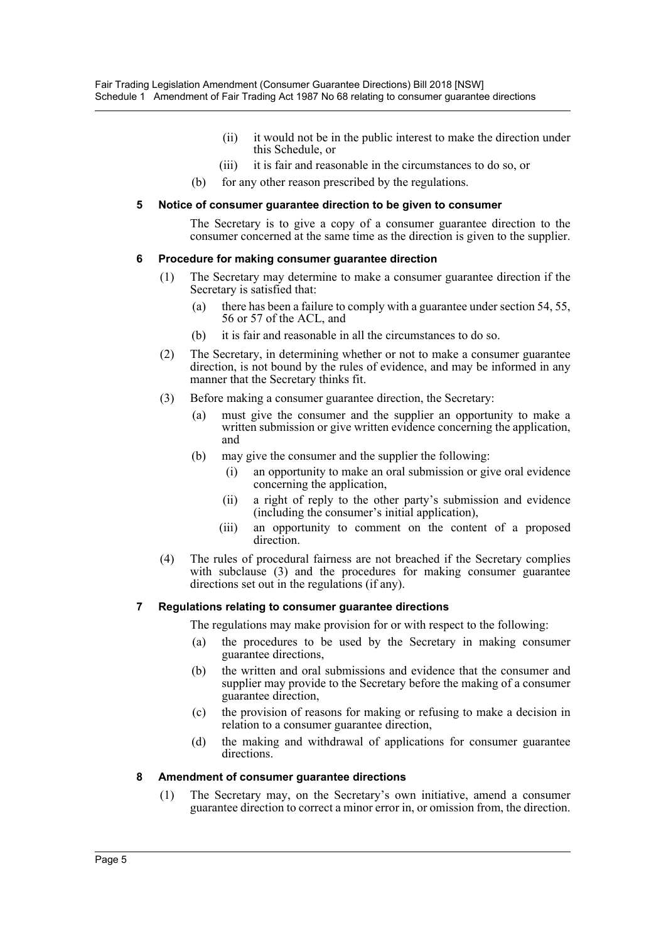- (ii) it would not be in the public interest to make the direction under this Schedule, or
- (iii) it is fair and reasonable in the circumstances to do so, or
- (b) for any other reason prescribed by the regulations.

#### **5 Notice of consumer guarantee direction to be given to consumer**

The Secretary is to give a copy of a consumer guarantee direction to the consumer concerned at the same time as the direction is given to the supplier.

#### **6 Procedure for making consumer guarantee direction**

- (1) The Secretary may determine to make a consumer guarantee direction if the Secretary is satisfied that:
	- (a) there has been a failure to comply with a guarantee under section 54, 55, 56 or 57 of the ACL, and
	- (b) it is fair and reasonable in all the circumstances to do so.
- (2) The Secretary, in determining whether or not to make a consumer guarantee direction, is not bound by the rules of evidence, and may be informed in any manner that the Secretary thinks fit.
- (3) Before making a consumer guarantee direction, the Secretary:
	- (a) must give the consumer and the supplier an opportunity to make a written submission or give written evidence concerning the application, and
	- (b) may give the consumer and the supplier the following:
		- (i) an opportunity to make an oral submission or give oral evidence concerning the application,
		- (ii) a right of reply to the other party's submission and evidence (including the consumer's initial application),
		- (iii) an opportunity to comment on the content of a proposed direction.
- (4) The rules of procedural fairness are not breached if the Secretary complies with subclause (3) and the procedures for making consumer guarantee directions set out in the regulations (if any).

#### **7 Regulations relating to consumer guarantee directions**

The regulations may make provision for or with respect to the following:

- (a) the procedures to be used by the Secretary in making consumer guarantee directions,
- (b) the written and oral submissions and evidence that the consumer and supplier may provide to the Secretary before the making of a consumer guarantee direction,
- (c) the provision of reasons for making or refusing to make a decision in relation to a consumer guarantee direction,
- (d) the making and withdrawal of applications for consumer guarantee directions.

#### **8 Amendment of consumer guarantee directions**

(1) The Secretary may, on the Secretary's own initiative, amend a consumer guarantee direction to correct a minor error in, or omission from, the direction.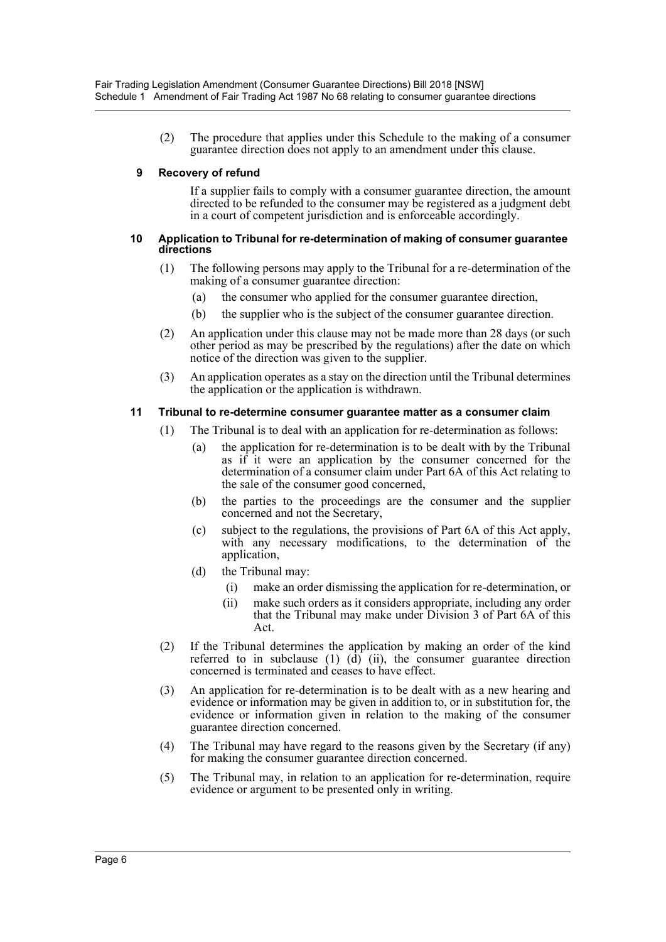(2) The procedure that applies under this Schedule to the making of a consumer guarantee direction does not apply to an amendment under this clause.

#### **9 Recovery of refund**

If a supplier fails to comply with a consumer guarantee direction, the amount directed to be refunded to the consumer may be registered as a judgment debt in a court of competent jurisdiction and is enforceable accordingly.

#### **10 Application to Tribunal for re-determination of making of consumer guarantee directions**

- (1) The following persons may apply to the Tribunal for a re-determination of the making of a consumer guarantee direction:
	- (a) the consumer who applied for the consumer guarantee direction,
	- (b) the supplier who is the subject of the consumer guarantee direction.
- (2) An application under this clause may not be made more than 28 days (or such other period as may be prescribed by the regulations) after the date on which notice of the direction was given to the supplier.
- (3) An application operates as a stay on the direction until the Tribunal determines the application or the application is withdrawn.

#### **11 Tribunal to re-determine consumer guarantee matter as a consumer claim**

- (1) The Tribunal is to deal with an application for re-determination as follows:
	- (a) the application for re-determination is to be dealt with by the Tribunal as if it were an application by the consumer concerned for the determination of a consumer claim under Part 6A of this Act relating to the sale of the consumer good concerned,
	- (b) the parties to the proceedings are the consumer and the supplier concerned and not the Secretary,
	- (c) subject to the regulations, the provisions of Part 6A of this Act apply, with any necessary modifications, to the determination of the application,
	- (d) the Tribunal may:
		- (i) make an order dismissing the application for re-determination, or
		- (ii) make such orders as it considers appropriate, including any order that the Tribunal may make under Division 3 of Part 6A of this Act.
- (2) If the Tribunal determines the application by making an order of the kind referred to in subclause (1)  $(d)$  (ii), the consumer guarantee direction concerned is terminated and ceases to have effect.
- (3) An application for re-determination is to be dealt with as a new hearing and evidence or information may be given in addition to, or in substitution for, the evidence or information given in relation to the making of the consumer guarantee direction concerned.
- (4) The Tribunal may have regard to the reasons given by the Secretary (if any) for making the consumer guarantee direction concerned.
- (5) The Tribunal may, in relation to an application for re-determination, require evidence or argument to be presented only in writing.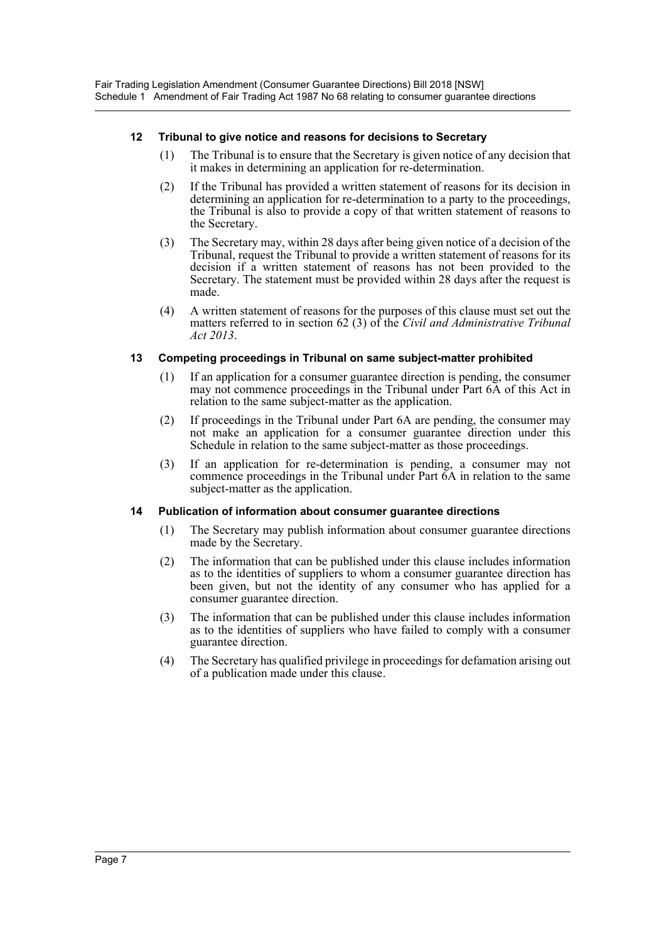#### **12 Tribunal to give notice and reasons for decisions to Secretary**

- (1) The Tribunal is to ensure that the Secretary is given notice of any decision that it makes in determining an application for re-determination.
- (2) If the Tribunal has provided a written statement of reasons for its decision in determining an application for re-determination to a party to the proceedings, the Tribunal is also to provide a copy of that written statement of reasons to the Secretary.
- (3) The Secretary may, within 28 days after being given notice of a decision of the Tribunal, request the Tribunal to provide a written statement of reasons for its decision if a written statement of reasons has not been provided to the Secretary. The statement must be provided within 28 days after the request is made.
- (4) A written statement of reasons for the purposes of this clause must set out the matters referred to in section 62 (3) of the *Civil and Administrative Tribunal Act 2013*.

## **13 Competing proceedings in Tribunal on same subject-matter prohibited**

- (1) If an application for a consumer guarantee direction is pending, the consumer may not commence proceedings in the Tribunal under Part 6A of this Act in relation to the same subject-matter as the application.
- (2) If proceedings in the Tribunal under Part 6A are pending, the consumer may not make an application for a consumer guarantee direction under this Schedule in relation to the same subject-matter as those proceedings.
- (3) If an application for re-determination is pending, a consumer may not commence proceedings in the Tribunal under Part 6A in relation to the same subject-matter as the application.

#### **14 Publication of information about consumer guarantee directions**

- (1) The Secretary may publish information about consumer guarantee directions made by the Secretary.
- (2) The information that can be published under this clause includes information as to the identities of suppliers to whom a consumer guarantee direction has been given, but not the identity of any consumer who has applied for a consumer guarantee direction.
- (3) The information that can be published under this clause includes information as to the identities of suppliers who have failed to comply with a consumer guarantee direction.
- (4) The Secretary has qualified privilege in proceedings for defamation arising out of a publication made under this clause.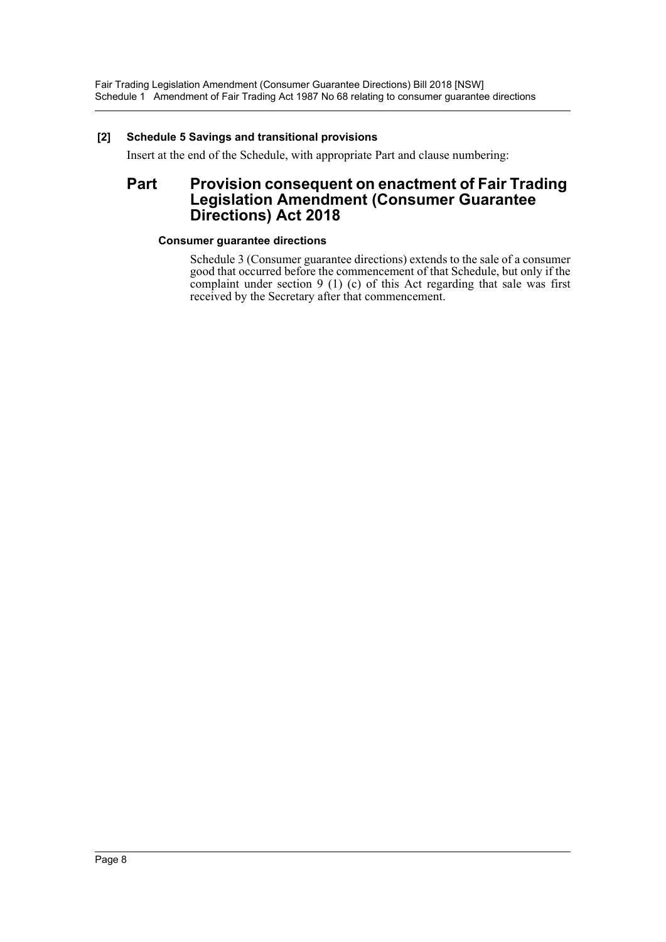# **[2] Schedule 5 Savings and transitional provisions**

Insert at the end of the Schedule, with appropriate Part and clause numbering:

# **Part Provision consequent on enactment of Fair Trading Legislation Amendment (Consumer Guarantee Directions) Act 2018**

## **Consumer guarantee directions**

Schedule 3 (Consumer guarantee directions) extends to the sale of a consumer good that occurred before the commencement of that Schedule, but only if the complaint under section 9 (1) (c) of this Act regarding that sale was first received by the Secretary after that commencement.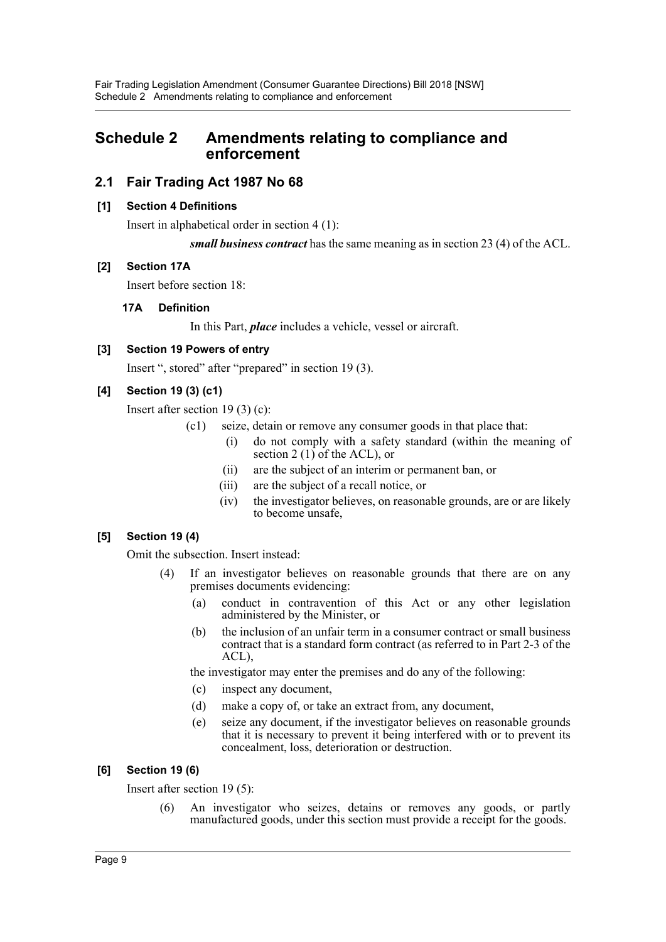# <span id="page-9-0"></span>**Schedule 2 Amendments relating to compliance and enforcement**

# **2.1 Fair Trading Act 1987 No 68**

## **[1] Section 4 Definitions**

Insert in alphabetical order in section 4 (1):

*small business contract* has the same meaning as in section 23 (4) of the ACL.

## **[2] Section 17A**

Insert before section 18:

## **17A Definition**

In this Part, *place* includes a vehicle, vessel or aircraft.

# **[3] Section 19 Powers of entry**

Insert ", stored" after "prepared" in section 19 (3).

# **[4] Section 19 (3) (c1)**

Insert after section 19 (3) (c):

- (c1) seize, detain or remove any consumer goods in that place that:
	- (i) do not comply with a safety standard (within the meaning of section 2  $(1)$  of the ACL), or
	- (ii) are the subject of an interim or permanent ban, or
	- (iii) are the subject of a recall notice, or
	- (iv) the investigator believes, on reasonable grounds, are or are likely to become unsafe,

# **[5] Section 19 (4)**

Omit the subsection. Insert instead:

- (4) If an investigator believes on reasonable grounds that there are on any premises documents evidencing:
	- (a) conduct in contravention of this Act or any other legislation administered by the Minister, or
	- (b) the inclusion of an unfair term in a consumer contract or small business contract that is a standard form contract (as referred to in Part 2-3 of the ACL),

the investigator may enter the premises and do any of the following:

- (c) inspect any document,
- (d) make a copy of, or take an extract from, any document,
- (e) seize any document, if the investigator believes on reasonable grounds that it is necessary to prevent it being interfered with or to prevent its concealment, loss, deterioration or destruction.

# **[6] Section 19 (6)**

Insert after section 19 (5):

(6) An investigator who seizes, detains or removes any goods, or partly manufactured goods, under this section must provide a receipt for the goods.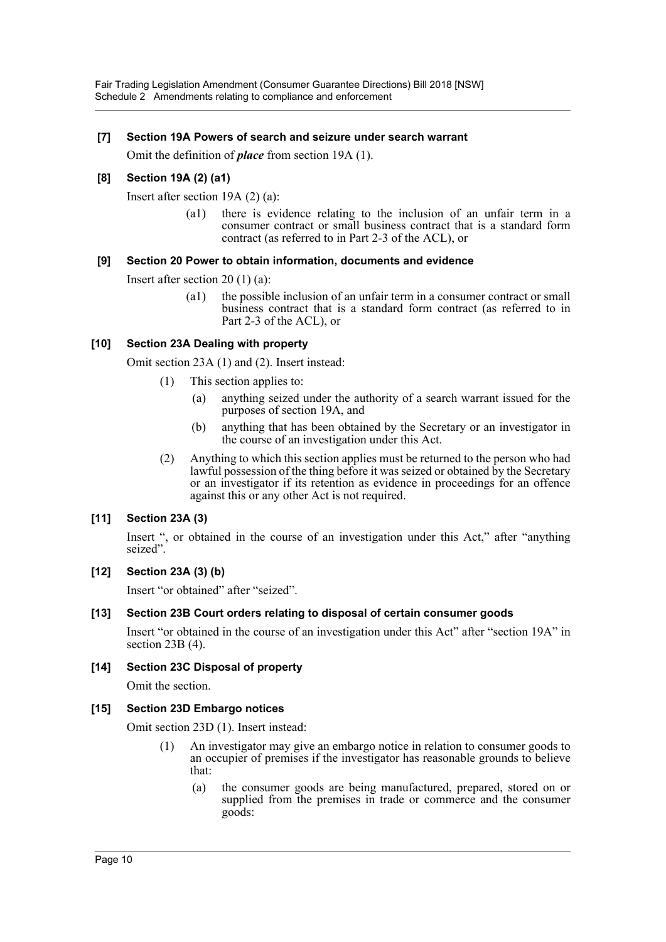## **[7] Section 19A Powers of search and seizure under search warrant**

Omit the definition of *place* from section 19A (1).

# **[8] Section 19A (2) (a1)**

Insert after section 19A (2) (a):

(a1) there is evidence relating to the inclusion of an unfair term in a consumer contract or small business contract that is a standard form contract (as referred to in Part 2-3 of the ACL), or

## **[9] Section 20 Power to obtain information, documents and evidence**

Insert after section 20 (1) (a):

(a1) the possible inclusion of an unfair term in a consumer contract or small business contract that is a standard form contract (as referred to in Part 2-3 of the ACL), or

## **[10] Section 23A Dealing with property**

Omit section 23A (1) and (2). Insert instead:

- (1) This section applies to:
	- (a) anything seized under the authority of a search warrant issued for the purposes of section 19A, and
	- (b) anything that has been obtained by the Secretary or an investigator in the course of an investigation under this Act.
- (2) Anything to which this section applies must be returned to the person who had lawful possession of the thing before it was seized or obtained by the Secretary or an investigator if its retention as evidence in proceedings for an offence against this or any other Act is not required.

#### **[11] Section 23A (3)**

Insert ", or obtained in the course of an investigation under this Act," after "anything seized".

#### **[12] Section 23A (3) (b)**

Insert "or obtained" after "seized".

# **[13] Section 23B Court orders relating to disposal of certain consumer goods**

Insert "or obtained in the course of an investigation under this Act" after "section 19A" in section 23B (4).

#### **[14] Section 23C Disposal of property**

Omit the section.

#### **[15] Section 23D Embargo notices**

Omit section 23D (1). Insert instead:

- (1) An investigator may give an embargo notice in relation to consumer goods to an occupier of premises if the investigator has reasonable grounds to believe that:
	- (a) the consumer goods are being manufactured, prepared, stored on or supplied from the premises in trade or commerce and the consumer goods: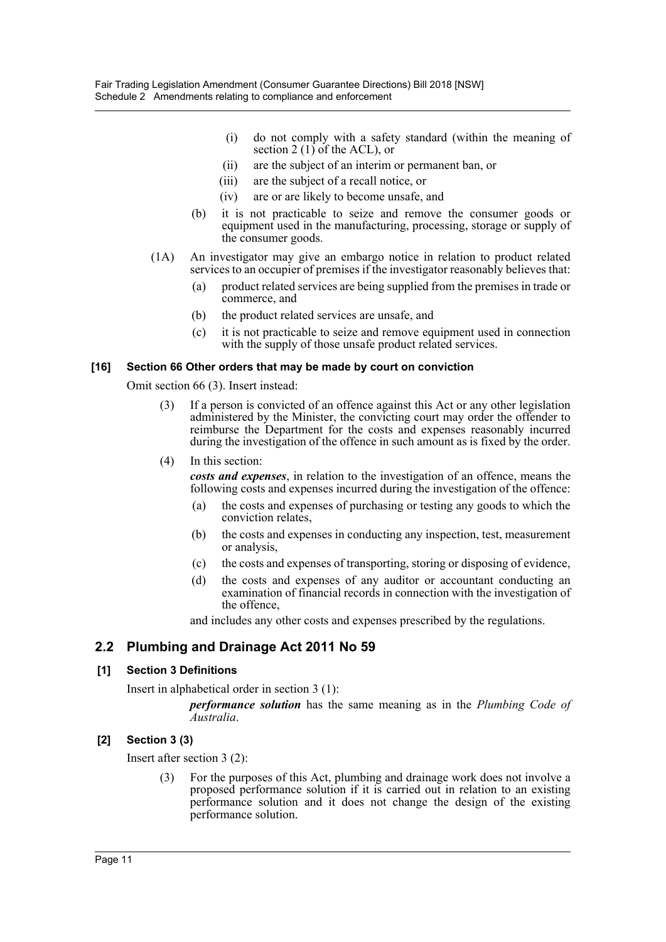- (i) do not comply with a safety standard (within the meaning of section 2  $(1)$  of the ACL), or
- (ii) are the subject of an interim or permanent ban, or
- (iii) are the subject of a recall notice, or
- (iv) are or are likely to become unsafe, and
- (b) it is not practicable to seize and remove the consumer goods or equipment used in the manufacturing, processing, storage or supply of the consumer goods.
- (1A) An investigator may give an embargo notice in relation to product related services to an occupier of premises if the investigator reasonably believes that:
	- (a) product related services are being supplied from the premises in trade or commerce, and
	- (b) the product related services are unsafe, and
	- (c) it is not practicable to seize and remove equipment used in connection with the supply of those unsafe product related services.

#### **[16] Section 66 Other orders that may be made by court on conviction**

Omit section 66 (3). Insert instead:

- (3) If a person is convicted of an offence against this Act or any other legislation administered by the Minister, the convicting court may order the offender to reimburse the Department for the costs and expenses reasonably incurred during the investigation of the offence in such amount as is fixed by the order.
- (4) In this section:

*costs and expenses*, in relation to the investigation of an offence, means the following costs and expenses incurred during the investigation of the offence:

- (a) the costs and expenses of purchasing or testing any goods to which the conviction relates,
- (b) the costs and expenses in conducting any inspection, test, measurement or analysis,
- (c) the costs and expenses of transporting, storing or disposing of evidence,
- (d) the costs and expenses of any auditor or accountant conducting an examination of financial records in connection with the investigation of the offence,

and includes any other costs and expenses prescribed by the regulations.

# **2.2 Plumbing and Drainage Act 2011 No 59**

# **[1] Section 3 Definitions**

Insert in alphabetical order in section 3 (1):

*performance solution* has the same meaning as in the *Plumbing Code of Australia*.

#### **[2] Section 3 (3)**

Insert after section 3 (2):

(3) For the purposes of this Act, plumbing and drainage work does not involve a proposed performance solution if it is carried out in relation to an existing performance solution and it does not change the design of the existing performance solution.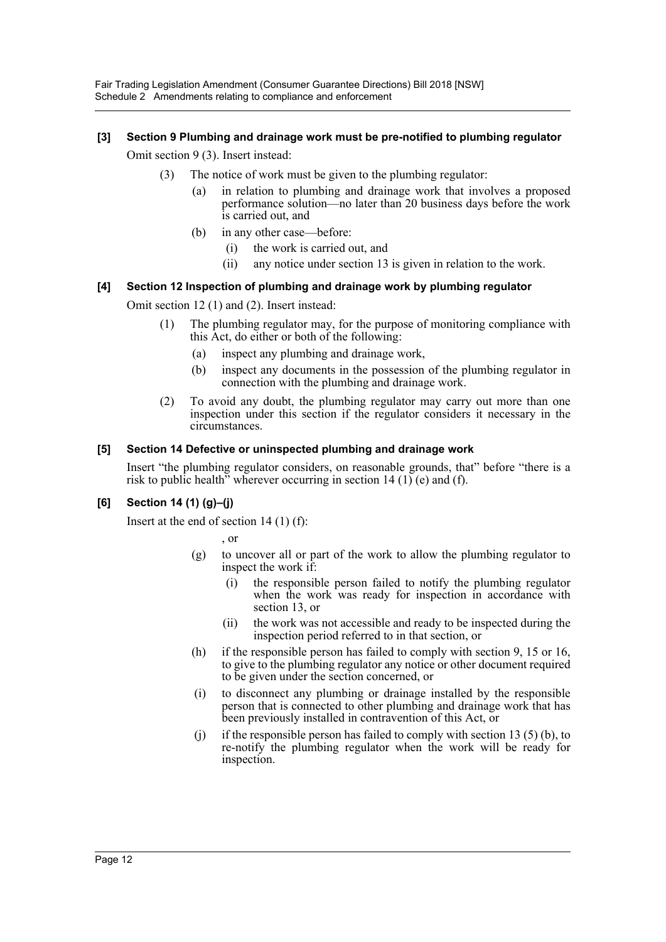Fair Trading Legislation Amendment (Consumer Guarantee Directions) Bill 2018 [NSW] Schedule 2 Amendments relating to compliance and enforcement

# **[3] Section 9 Plumbing and drainage work must be pre-notified to plumbing regulator**

Omit section 9 (3). Insert instead:

- (3) The notice of work must be given to the plumbing regulator:
	- (a) in relation to plumbing and drainage work that involves a proposed performance solution—no later than 20 business days before the work is carried out, and
	- (b) in any other case—before:
		- (i) the work is carried out, and
		- (ii) any notice under section 13 is given in relation to the work.

## **[4] Section 12 Inspection of plumbing and drainage work by plumbing regulator**

Omit section 12 (1) and (2). Insert instead:

- (1) The plumbing regulator may, for the purpose of monitoring compliance with this Act, do either or both of the following:
	- (a) inspect any plumbing and drainage work,
	- (b) inspect any documents in the possession of the plumbing regulator in connection with the plumbing and drainage work.
- (2) To avoid any doubt, the plumbing regulator may carry out more than one inspection under this section if the regulator considers it necessary in the circumstances.

#### **[5] Section 14 Defective or uninspected plumbing and drainage work**

Insert "the plumbing regulator considers, on reasonable grounds, that" before "there is a risk to public health" wherever occurring in section 14 (1) (e) and (f).

# **[6] Section 14 (1) (g)–(j)**

Insert at the end of section 14 (1) (f):

, or

- (g) to uncover all or part of the work to allow the plumbing regulator to inspect the work if:
	- (i) the responsible person failed to notify the plumbing regulator when the work was ready for inspection in accordance with section 13, or
	- (ii) the work was not accessible and ready to be inspected during the inspection period referred to in that section, or
- (h) if the responsible person has failed to comply with section 9, 15 or 16, to give to the plumbing regulator any notice or other document required to be given under the section concerned, or
- (i) to disconnect any plumbing or drainage installed by the responsible person that is connected to other plumbing and drainage work that has been previously installed in contravention of this Act, or
- (i) if the responsible person has failed to comply with section 13 (5) (b), to re-notify the plumbing regulator when the work will be ready for inspection.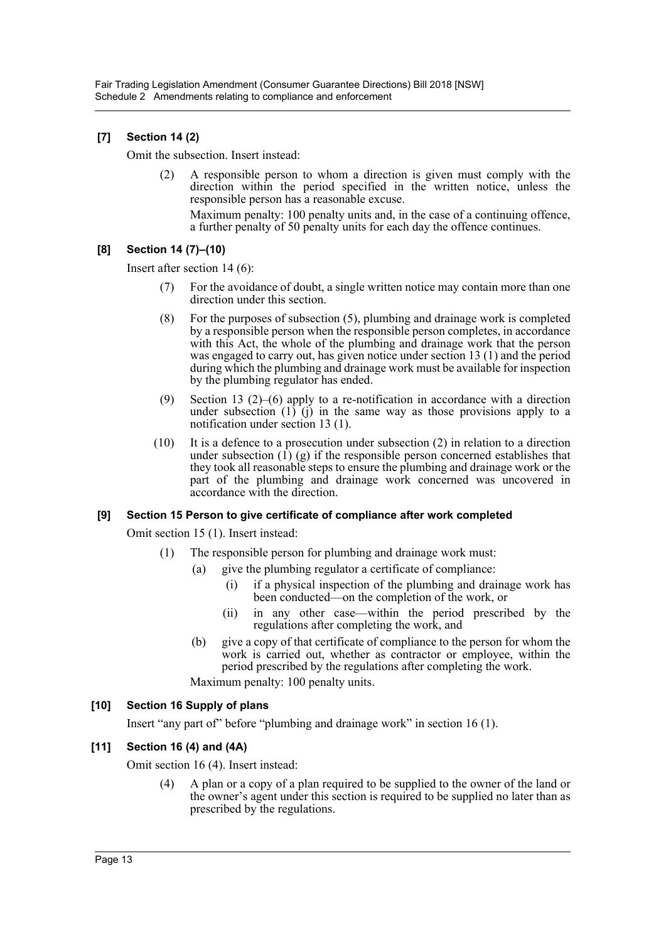# **[7] Section 14 (2)**

Omit the subsection. Insert instead:

(2) A responsible person to whom a direction is given must comply with the direction within the period specified in the written notice, unless the responsible person has a reasonable excuse.

Maximum penalty: 100 penalty units and, in the case of a continuing offence, a further penalty of 50 penalty units for each day the offence continues.

# **[8] Section 14 (7)–(10)**

Insert after section 14 (6):

- (7) For the avoidance of doubt, a single written notice may contain more than one direction under this section.
- (8) For the purposes of subsection (5), plumbing and drainage work is completed by a responsible person when the responsible person completes, in accordance with this Act, the whole of the plumbing and drainage work that the person was engaged to carry out, has given notice under section 13 (1) and the period during which the plumbing and drainage work must be available for inspection by the plumbing regulator has ended.
- (9) Section 13 (2)–(6) apply to a re-notification in accordance with a direction under subsection  $(1)$   $(i)$  in the same way as those provisions apply to a notification under section 13 (1).
- (10) It is a defence to a prosecution under subsection (2) in relation to a direction under subsection  $\overline{(1)}(g)$  if the responsible person concerned establishes that they took all reasonable steps to ensure the plumbing and drainage work or the part of the plumbing and drainage work concerned was uncovered in accordance with the direction.

#### **[9] Section 15 Person to give certificate of compliance after work completed**

Omit section 15 (1). Insert instead:

- (1) The responsible person for plumbing and drainage work must:
	- (a) give the plumbing regulator a certificate of compliance:
		- (i) if a physical inspection of the plumbing and drainage work has been conducted—on the completion of the work, or
		- (ii) in any other case—within the period prescribed by the regulations after completing the work, and
		- (b) give a copy of that certificate of compliance to the person for whom the work is carried out, whether as contractor or employee, within the period prescribed by the regulations after completing the work.

Maximum penalty: 100 penalty units.

#### **[10] Section 16 Supply of plans**

Insert "any part of" before "plumbing and drainage work" in section 16 (1).

# **[11] Section 16 (4) and (4A)**

Omit section 16 (4). Insert instead:

(4) A plan or a copy of a plan required to be supplied to the owner of the land or the owner's agent under this section is required to be supplied no later than as prescribed by the regulations.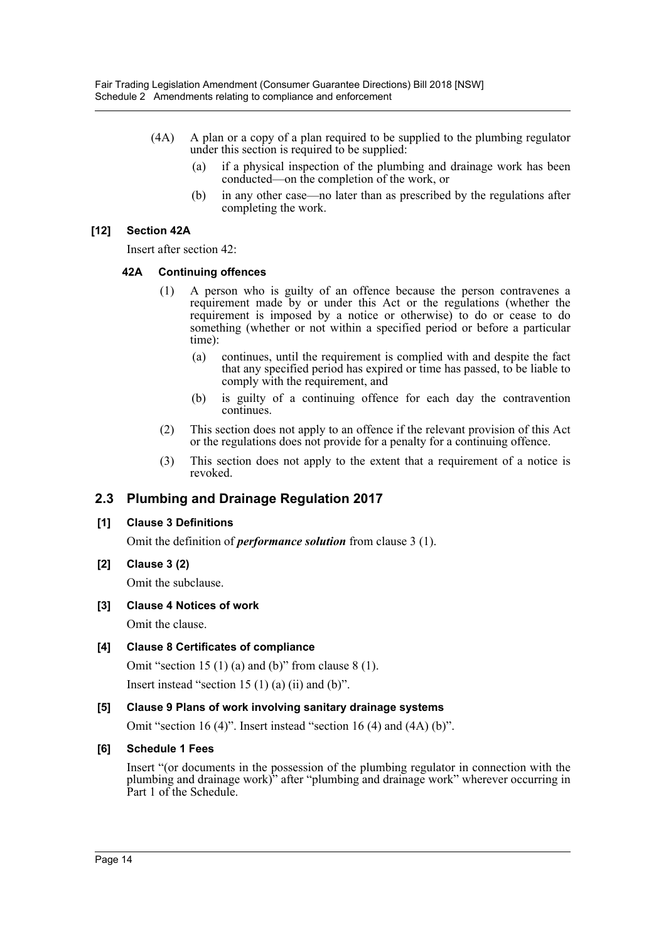- (4A) A plan or a copy of a plan required to be supplied to the plumbing regulator under this section is required to be supplied:
	- (a) if a physical inspection of the plumbing and drainage work has been conducted—on the completion of the work, or
	- (b) in any other case—no later than as prescribed by the regulations after completing the work.

## **[12] Section 42A**

Insert after section 42:

#### **42A Continuing offences**

- (1) A person who is guilty of an offence because the person contravenes a requirement made by or under this Act or the regulations (whether the requirement is imposed by a notice or otherwise) to do or cease to do something (whether or not within a specified period or before a particular time):
	- (a) continues, until the requirement is complied with and despite the fact that any specified period has expired or time has passed, to be liable to comply with the requirement, and
	- (b) is guilty of a continuing offence for each day the contravention continues.
- (2) This section does not apply to an offence if the relevant provision of this Act or the regulations does not provide for a penalty for a continuing offence.
- (3) This section does not apply to the extent that a requirement of a notice is revoked.

# **2.3 Plumbing and Drainage Regulation 2017**

#### **[1] Clause 3 Definitions**

Omit the definition of *performance solution* from clause 3 (1).

**[2] Clause 3 (2)**

Omit the subclause.

**[3] Clause 4 Notices of work**

Omit the clause.

#### **[4] Clause 8 Certificates of compliance**

Omit "section 15 (1) (a) and (b)" from clause  $8(1)$ .

Insert instead "section 15  $(1)$   $(a)$   $(ii)$  and  $(b)$ ".

#### **[5] Clause 9 Plans of work involving sanitary drainage systems**

Omit "section 16 (4)". Insert instead "section 16 (4) and (4A) (b)".

#### **[6] Schedule 1 Fees**

Insert "(or documents in the possession of the plumbing regulator in connection with the plumbing and drainage work)" after "plumbing and drainage work" wherever occurring in Part 1 of the Schedule.